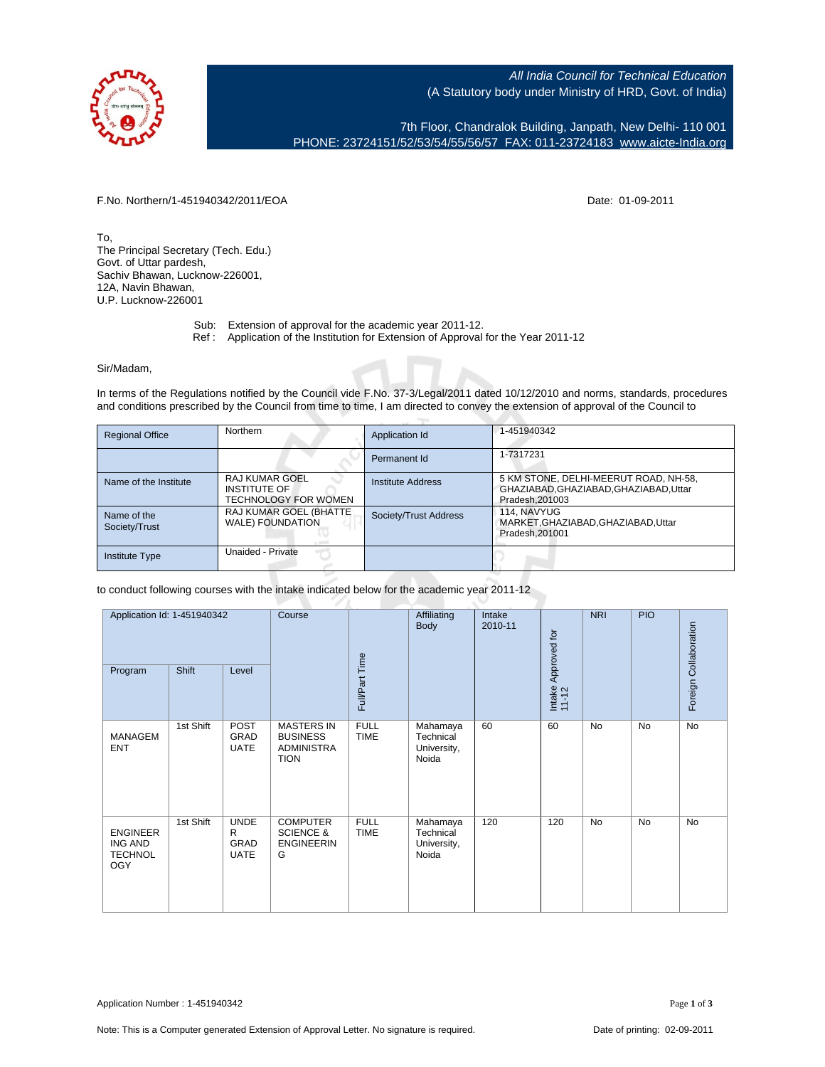

All India Council for Technical Education (A Statutory body under Ministry of HRD, Govt. of India)

7th Floor, Chandralok Building, Janpath, New Delhi- 110 001 PHONE: 23724151/52/53/54/55/56/57 FAX: 011-23724183 [www.aicte-India.org](http://www.aicte-India.org)

F.No. Northern/1-451940342/2011/EOA Date: 01-09-2011

To, The Principal Secretary (Tech. Edu.) Govt. of Uttar pardesh, Sachiv Bhawan, Lucknow-226001, 12A, Navin Bhawan, U.P. Lucknow-226001

- Sub: Extension of approval for the academic year 2011-12.
- Ref : Application of the Institution for Extension of Approval for the Year 2011-12

Sir/Madam,

In terms of the Regulations notified by the Council vide F.No. 37-3/Legal/2011 dated 10/12/2010 and norms, standards, procedures and conditions prescribed by the Council from time to time, I am directed to convey the extension of approval of the Council to

| <b>Regional Office</b>       | Northern                                                                    | Application Id        | 1-451940342                                                                                       |
|------------------------------|-----------------------------------------------------------------------------|-----------------------|---------------------------------------------------------------------------------------------------|
|                              |                                                                             | Permanent Id          | 1-7317231                                                                                         |
| Name of the Institute        | <b>RAJ KUMAR GOEL</b><br><b>INSTITUTE OF</b><br><b>TECHNOLOGY FOR WOMEN</b> | Institute Address     | 5 KM STONE, DELHI-MEERUT ROAD, NH-58,<br>GHAZIABAD, GHAZIABAD, GHAZIABAD, Uttar<br>Pradesh.201003 |
| Name of the<br>Society/Trust | RAJ KUMAR GOEL (BHATTE)<br>WALE) FOUNDATION                                 | Society/Trust Address | 114. NAVYUG<br>MARKET.GHAZIABAD.GHAZIABAD.Uttar<br>Pradesh.201001                                 |
| <b>Institute Type</b>        | Unaided - Private                                                           |                       |                                                                                                   |

to conduct following courses with the intake indicated below for the academic year 2011-12

| Application Id: 1-451940342<br>Program                     | Shift     | Level                                     | Course                                                            | Full/Part Time             | Affiliating<br>Body                           | Intake<br>2010-11 | Intake Approved for<br>11-12 | <b>NRI</b> | <b>PIO</b> | Foreign Collaboration |
|------------------------------------------------------------|-----------|-------------------------------------------|-------------------------------------------------------------------|----------------------------|-----------------------------------------------|-------------------|------------------------------|------------|------------|-----------------------|
| <b>MANAGEM</b><br><b>ENT</b>                               | 1st Shift | <b>POST</b><br><b>GRAD</b><br><b>UATE</b> | <b>MASTERS IN</b><br><b>BUSINESS</b><br>ADMINISTRA<br><b>TION</b> | <b>FULL</b><br><b>TIME</b> | Mahamaya<br>Technical<br>University,<br>Noida | 60                | 60                           | <b>No</b>  | <b>No</b>  | No                    |
| <b>ENGINEER</b><br>ING AND<br><b>TECHNOL</b><br><b>OGY</b> | 1st Shift | <b>UNDE</b><br>R<br>GRAD<br><b>UATE</b>   | <b>COMPUTER</b><br><b>SCIENCE &amp;</b><br><b>ENGINEERIN</b><br>G | <b>FULL</b><br><b>TIME</b> | Mahamaya<br>Technical<br>University,<br>Noida | 120               | 120                          | <b>No</b>  | <b>No</b>  | <b>No</b>             |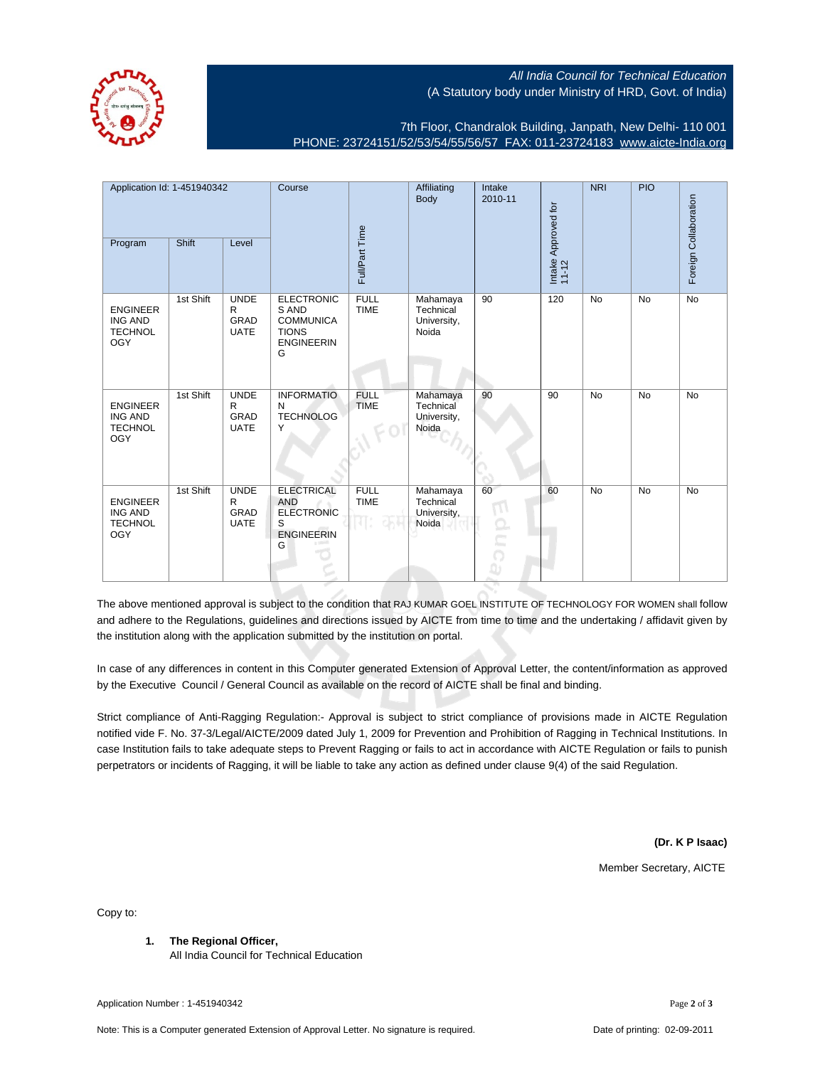All India Council for Technical Education (A Statutory body under Ministry of HRD, Govt. of India)

7th Floor, Chandralok Building, Janpath, New Delhi- 110 001 PHONE: 23724151/52/53/54/55/56/57 FAX: 011-23724183 [www.aicte-India.org](http://www.aicte-India.org)

Application Id: 1-451940342 Course **Affiliating** NRI PIO Intake Body 2010-11 Collaboration Foreign Collaboration Intake Approved for Intake Approved for<br>11-12 Full/Part Time Program Shift Level Foreign ( 1st Shift UNDE **ELECTRONIC FULL** Mahamaya 90 120 No No No S AND R TIME **Technical** ENGINEER GRAD **COMMUNICA** ING AND University, **TECHNOL** UATE TIONS Noida **ENGINEERIN OGY** G 1st Shift UNDE **INFORMATIO** FULL Mahamaya 90 90 No No No R N TIME **Technical** ENGINEER GRAD University, ING AND **TECHNOLOG TECHNOL** UATE Noida Y OGY 1st Shift UNDE **ELECTRICAL** FULL Mahamaya 60 60 No No No R AND TIME **Technical** ENGINEER GRAD ELECTRONIC ING AND University, **TECHNOL** UATE Noida S OGY ENGINEERIN G

The above mentioned approval is subject to the condition that RAJ KUMAR GOEL INSTITUTE OF TECHNOLOGY FOR WOMEN shall follow and adhere to the Regulations, guidelines and directions issued by AICTE from time to time and the undertaking / affidavit given by the institution along with the application submitted by the institution on portal.

In case of any differences in content in this Computer generated Extension of Approval Letter, the content/information as approved by the Executive Council / General Council as available on the record of AICTE shall be final and binding.

Strict compliance of Anti-Ragging Regulation:- Approval is subject to strict compliance of provisions made in AICTE Regulation notified vide F. No. 37-3/Legal/AICTE/2009 dated July 1, 2009 for Prevention and Prohibition of Ragging in Technical Institutions. In case Institution fails to take adequate steps to Prevent Ragging or fails to act in accordance with AICTE Regulation or fails to punish perpetrators or incidents of Ragging, it will be liable to take any action as defined under clause 9(4) of the said Regulation.

**(Dr. K P Isaac)**

Member Secretary, AICTE

Copy to:

**1. The Regional Officer,**

All India Council for Technical Education

Application Number : 1-451940342 Page **2** of **3**